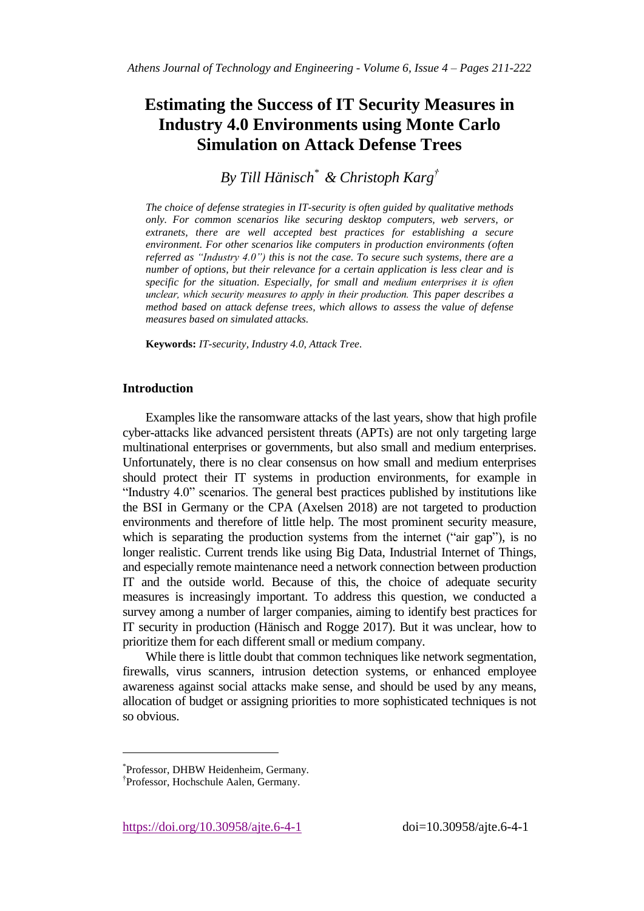# **Estimating the Success of IT Security Measures in Industry 4.0 Environments using Monte Carlo Simulation on Attack Defense Trees**

*By Till Hänisch\* & Christoph Karg†*

*The choice of defense strategies in IT-security is often guided by qualitative methods only. For common scenarios like securing desktop computers, web servers, or extranets, there are well accepted best practices for establishing a secure environment. For other scenarios like computers in production environments (often referred as "Industry 4.0") this is not the case. To secure such systems, there are a number of options, but their relevance for a certain application is less clear and is specific for the situation. Especially, for small and medium enterprises it is often unclear, which security measures to apply in their production. This paper describes a method based on attack defense trees, which allows to assess the value of defense measures based on simulated attacks.* 

**Keywords:** *IT-security, Industry 4.0, Attack Tree.*

### **Introduction**

Examples like the ransomware attacks of the last years, show that high profile cyber-attacks like advanced persistent threats (APTs) are not only targeting large multinational enterprises or governments, but also small and medium enterprises. Unfortunately, there is no clear consensus on how small and medium enterprises should protect their IT systems in production environments, for example in "Industry 4.0" scenarios. The general best practices published by institutions like the BSI in Germany or the CPA (Axelsen 2018) are not targeted to production environments and therefore of little help. The most prominent security measure, which is separating the production systems from the internet ("air gap"), is no longer realistic. Current trends like using Big Data, Industrial Internet of Things, and especially remote maintenance need a network connection between production IT and the outside world. Because of this, the choice of adequate security measures is increasingly important. To address this question, we conducted a survey among a number of larger companies, aiming to identify best practices for IT security in production (Hänisch and Rogge 2017). But it was unclear, how to prioritize them for each different small or medium company.

While there is little doubt that common techniques like network segmentation, firewalls, virus scanners, intrusion detection systems, or enhanced employee awareness against social attacks make sense, and should be used by any means, allocation of budget or assigning priorities to more sophisticated techniques is not so obvious.

 $\overline{a}$ 

<sup>\*</sup> Professor, DHBW Heidenheim, Germany.

<sup>†</sup> Professor, Hochschule Aalen, Germany.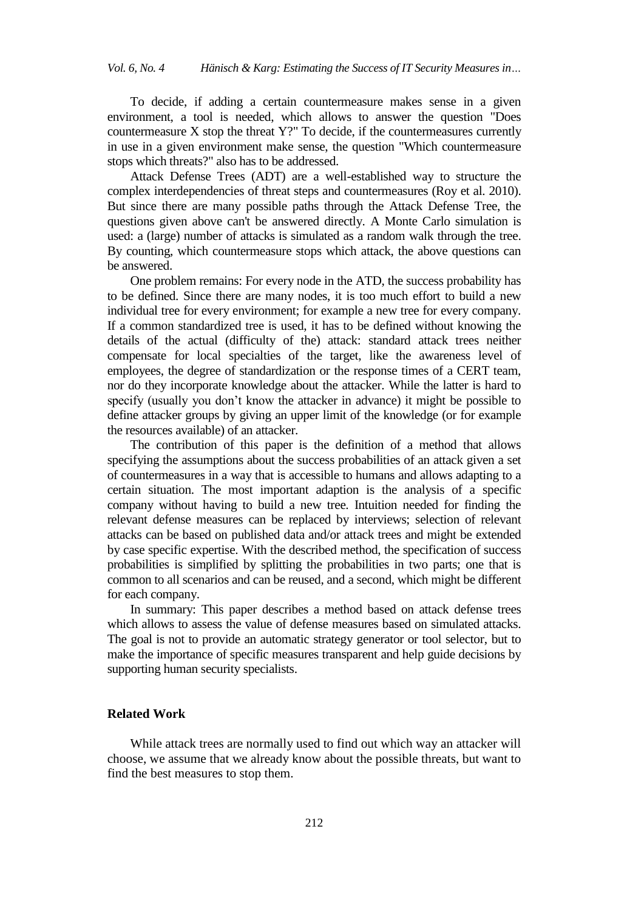To decide, if adding a certain countermeasure makes sense in a given environment, a tool is needed, which allows to answer the question "Does countermeasure X stop the threat Y?" To decide, if the countermeasures currently in use in a given environment make sense, the question "Which countermeasure stops which threats?" also has to be addressed.

Attack Defense Trees (ADT) are a well-established way to structure the complex interdependencies of threat steps and countermeasures (Roy et al. 2010). But since there are many possible paths through the Attack Defense Tree, the questions given above can't be answered directly. A Monte Carlo simulation is used: a (large) number of attacks is simulated as a random walk through the tree. By counting, which countermeasure stops which attack, the above questions can be answered.

One problem remains: For every node in the ATD, the success probability has to be defined. Since there are many nodes, it is too much effort to build a new individual tree for every environment; for example a new tree for every company. If a common standardized tree is used, it has to be defined without knowing the details of the actual (difficulty of the) attack: standard attack trees neither compensate for local specialties of the target, like the awareness level of employees, the degree of standardization or the response times of a CERT team, nor do they incorporate knowledge about the attacker. While the latter is hard to specify (usually you don't know the attacker in advance) it might be possible to define attacker groups by giving an upper limit of the knowledge (or for example the resources available) of an attacker.

The contribution of this paper is the definition of a method that allows specifying the assumptions about the success probabilities of an attack given a set of countermeasures in a way that is accessible to humans and allows adapting to a certain situation. The most important adaption is the analysis of a specific company without having to build a new tree. Intuition needed for finding the relevant defense measures can be replaced by interviews; selection of relevant attacks can be based on published data and/or attack trees and might be extended by case specific expertise. With the described method, the specification of success probabilities is simplified by splitting the probabilities in two parts; one that is common to all scenarios and can be reused, and a second, which might be different for each company.

In summary: This paper describes a method based on attack defense trees which allows to assess the value of defense measures based on simulated attacks. The goal is not to provide an automatic strategy generator or tool selector, but to make the importance of specific measures transparent and help guide decisions by supporting human security specialists.

#### **Related Work**

While attack trees are normally used to find out which way an attacker will choose, we assume that we already know about the possible threats, but want to find the best measures to stop them.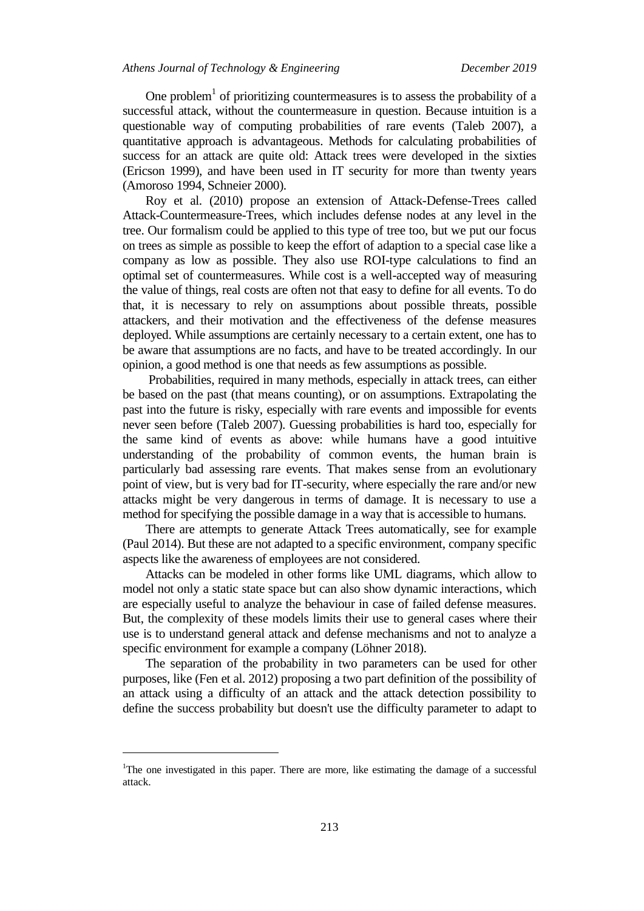One problem<sup>1</sup> of prioritizing countermeasures is to assess the probability of a successful attack, without the countermeasure in question. Because intuition is a questionable way of computing probabilities of rare events (Taleb 2007), a quantitative approach is advantageous. Methods for calculating probabilities of success for an attack are quite old: Attack trees were developed in the sixties (Ericson 1999), and have been used in IT security for more than twenty years (Amoroso 1994, Schneier 2000).

Roy et al. (2010) propose an extension of Attack-Defense-Trees called Attack-Countermeasure-Trees, which includes defense nodes at any level in the tree. Our formalism could be applied to this type of tree too, but we put our focus on trees as simple as possible to keep the effort of adaption to a special case like a company as low as possible. They also use ROI-type calculations to find an optimal set of countermeasures. While cost is a well-accepted way of measuring the value of things, real costs are often not that easy to define for all events. To do that, it is necessary to rely on assumptions about possible threats, possible attackers, and their motivation and the effectiveness of the defense measures deployed. While assumptions are certainly necessary to a certain extent, one has to be aware that assumptions are no facts, and have to be treated accordingly. In our opinion, a good method is one that needs as few assumptions as possible.

Probabilities, required in many methods, especially in attack trees, can either be based on the past (that means counting), or on assumptions. Extrapolating the past into the future is risky, especially with rare events and impossible for events never seen before (Taleb 2007). Guessing probabilities is hard too, especially for the same kind of events as above: while humans have a good intuitive understanding of the probability of common events, the human brain is particularly bad assessing rare events. That makes sense from an evolutionary point of view, but is very bad for IT-security, where especially the rare and/or new attacks might be very dangerous in terms of damage. It is necessary to use a method for specifying the possible damage in a way that is accessible to humans.

There are attempts to generate Attack Trees automatically, see for example (Paul 2014). But these are not adapted to a specific environment, company specific aspects like the awareness of employees are not considered.

Attacks can be modeled in other forms like UML diagrams, which allow to model not only a static state space but can also show dynamic interactions, which are especially useful to analyze the behaviour in case of failed defense measures. But, the complexity of these models limits their use to general cases where their use is to understand general attack and defense mechanisms and not to analyze a specific environment for example a company (Löhner 2018).

The separation of the probability in two parameters can be used for other purposes, like (Fen et al. 2012) proposing a two part definition of the possibility of an attack using a difficulty of an attack and the attack detection possibility to define the success probability but doesn't use the difficulty parameter to adapt to

 $\overline{a}$ 

<sup>&</sup>lt;sup>1</sup>The one investigated in this paper. There are more, like estimating the damage of a successful attack.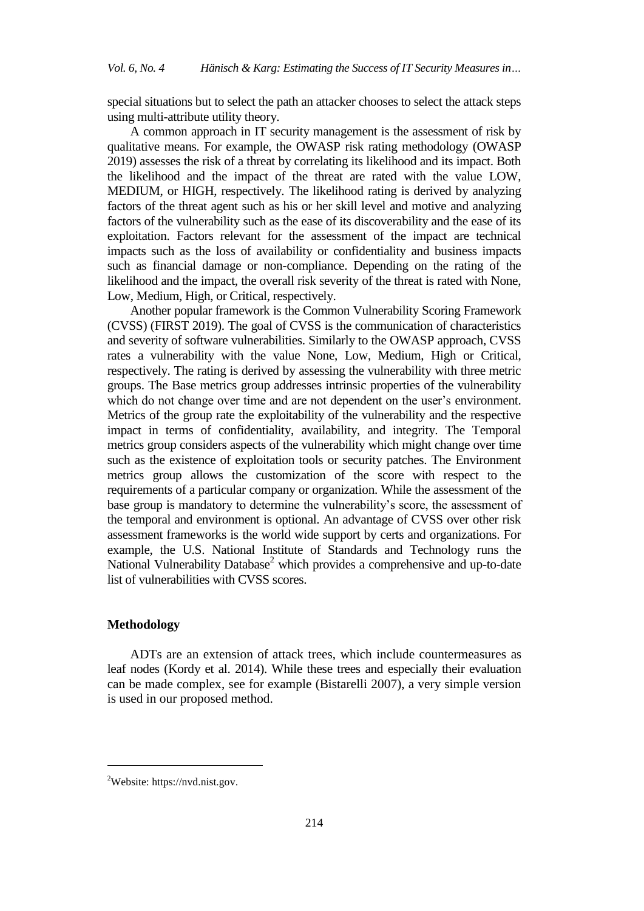special situations but to select the path an attacker chooses to select the attack steps using multi-attribute utility theory.

A common approach in IT security management is the assessment of risk by qualitative means. For example, the OWASP risk rating methodology (OWASP 2019) assesses the risk of a threat by correlating its likelihood and its impact. Both the likelihood and the impact of the threat are rated with the value LOW, MEDIUM, or HIGH, respectively. The likelihood rating is derived by analyzing factors of the threat agent such as his or her skill level and motive and analyzing factors of the vulnerability such as the ease of its discoverability and the ease of its exploitation. Factors relevant for the assessment of the impact are technical impacts such as the loss of availability or confidentiality and business impacts such as financial damage or non-compliance. Depending on the rating of the likelihood and the impact, the overall risk severity of the threat is rated with None, Low, Medium, High, or Critical, respectively.

Another popular framework is the Common Vulnerability Scoring Framework (CVSS) (FIRST 2019). The goal of CVSS is the communication of characteristics and severity of software vulnerabilities. Similarly to the OWASP approach, CVSS rates a vulnerability with the value None, Low, Medium, High or Critical, respectively. The rating is derived by assessing the vulnerability with three metric groups. The Base metrics group addresses intrinsic properties of the vulnerability which do not change over time and are not dependent on the user's environment. Metrics of the group rate the exploitability of the vulnerability and the respective impact in terms of confidentiality, availability, and integrity. The Temporal metrics group considers aspects of the vulnerability which might change over time such as the existence of exploitation tools or security patches. The Environment metrics group allows the customization of the score with respect to the requirements of a particular company or organization. While the assessment of the base group is mandatory to determine the vulnerability's score, the assessment of the temporal and environment is optional. An advantage of CVSS over other risk assessment frameworks is the world wide support by certs and organizations. For example, the U.S. National Institute of Standards and Technology runs the National Vulnerability Database<sup>2</sup> which provides a comprehensive and up-to-date list of vulnerabilities with CVSS scores.

## **Methodology**

 $\overline{a}$ 

ADTs are an extension of attack trees, which include countermeasures as leaf nodes (Kordy et al. 2014). While these trees and especially their evaluation can be made complex, see for example (Bistarelli 2007), a very simple version is used in our proposed method.

 $2$ Website: https://nvd.nist.gov.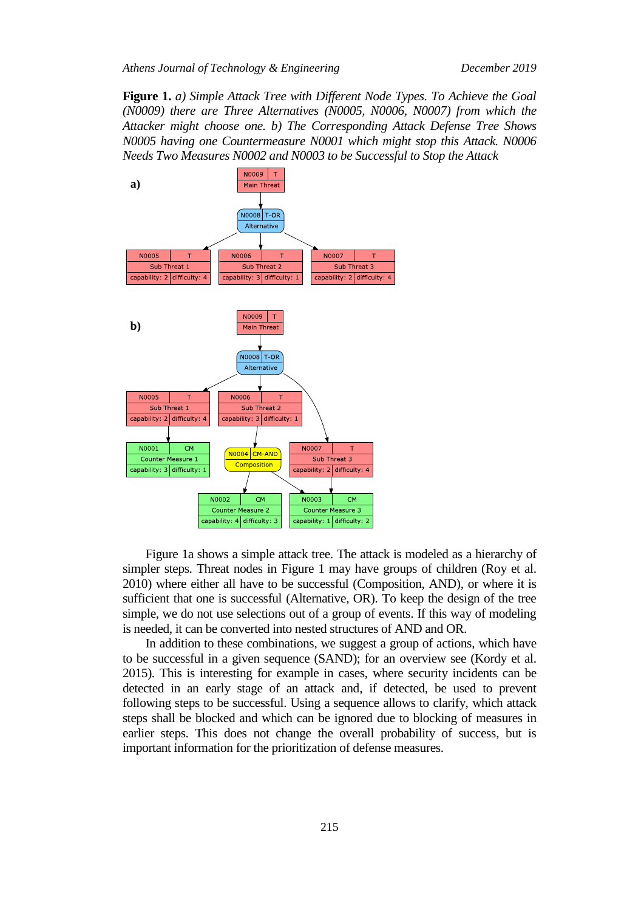*Athens Journal of Technology & Engineering December 2019*

**Figure 1.** *a) Simple Attack Tree with Different Node Types. To Achieve the Goal (N0009) there are Three Alternatives (N0005, N0006, N0007) from which the Attacker might choose one. b) The Corresponding Attack Defense Tree Shows N0005 having one Countermeasure N0001 which might stop this Attack. N0006 Needs Two Measures N0002 and N0003 to be Successful to Stop the Attack*



Figure 1a shows a simple attack tree. The attack is modeled as a hierarchy of simpler steps. Threat nodes in Figure 1 may have groups of children (Roy et al. 2010) where either all have to be successful (Composition, AND), or where it is sufficient that one is successful (Alternative, OR). To keep the design of the tree simple, we do not use selections out of a group of events. If this way of modeling is needed, it can be converted into nested structures of AND and OR.

In addition to these combinations, we suggest a group of actions, which have to be successful in a given sequence (SAND); for an overview see (Kordy et al. 2015). This is interesting for example in cases, where security incidents can be detected in an early stage of an attack and, if detected, be used to prevent following steps to be successful. Using a sequence allows to clarify, which attack steps shall be blocked and which can be ignored due to blocking of measures in earlier steps. This does not change the overall probability of success, but is important information for the prioritization of defense measures.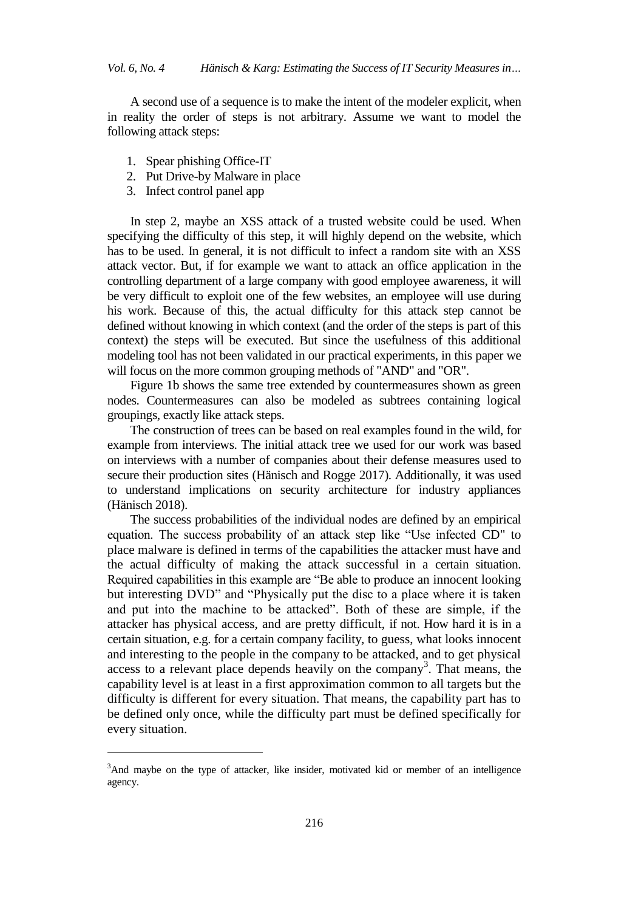*Vol. 6, No. 4 Hänisch & Karg: Estimating the Success of IT Security Measures in…*

A second use of a sequence is to make the intent of the modeler explicit, when in reality the order of steps is not arbitrary. Assume we want to model the following attack steps:

- 1. Spear phishing Office-IT
- 2. Put Drive-by Malware in place
- 3. Infect control panel app

 $\overline{a}$ 

In step 2, maybe an XSS attack of a trusted website could be used. When specifying the difficulty of this step, it will highly depend on the website, which has to be used. In general, it is not difficult to infect a random site with an XSS attack vector. But, if for example we want to attack an office application in the controlling department of a large company with good employee awareness, it will be very difficult to exploit one of the few websites, an employee will use during his work. Because of this, the actual difficulty for this attack step cannot be defined without knowing in which context (and the order of the steps is part of this context) the steps will be executed. But since the usefulness of this additional modeling tool has not been validated in our practical experiments, in this paper we will focus on the more common grouping methods of "AND" and "OR".

Figure 1b shows the same tree extended by countermeasures shown as green nodes. Countermeasures can also be modeled as subtrees containing logical groupings, exactly like attack steps.

The construction of trees can be based on real examples found in the wild, for example from interviews. The initial attack tree we used for our work was based on interviews with a number of companies about their defense measures used to secure their production sites (Hänisch and Rogge 2017). Additionally, it was used to understand implications on security architecture for industry appliances (Hänisch 2018).

The success probabilities of the individual nodes are defined by an empirical equation. The success probability of an attack step like "Use infected CD" to place malware is defined in terms of the capabilities the attacker must have and the actual difficulty of making the attack successful in a certain situation. Required capabilities in this example are "Be able to produce an innocent looking but interesting DVD" and "Physically put the disc to a place where it is taken and put into the machine to be attacked". Both of these are simple, if the attacker has physical access, and are pretty difficult, if not. How hard it is in a certain situation, e.g. for a certain company facility, to guess, what looks innocent and interesting to the people in the company to be attacked, and to get physical access to a relevant place depends heavily on the company<sup>3</sup>. That means, the capability level is at least in a first approximation common to all targets but the difficulty is different for every situation. That means, the capability part has to be defined only once, while the difficulty part must be defined specifically for every situation.

<sup>3</sup>And maybe on the type of attacker, like insider, motivated kid or member of an intelligence agency.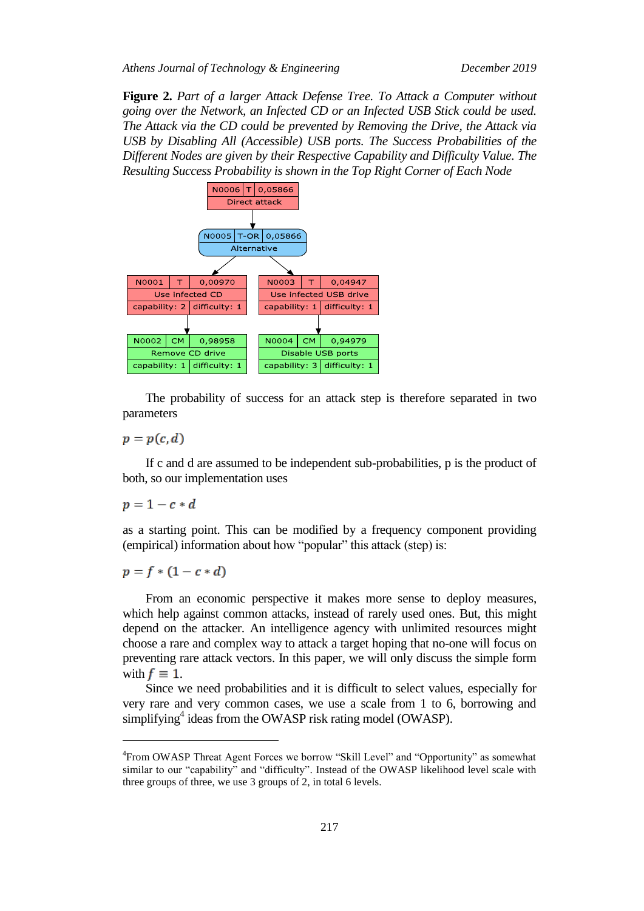*Athens Journal of Technology & Engineering December 2019*

**Figure 2.** *Part of a larger Attack Defense Tree. To Attack a Computer without going over the Network, an Infected CD or an Infected USB Stick could be used. The Attack via the CD could be prevented by Removing the Drive, the Attack via USB by Disabling All (Accessible) USB ports. The Success Probabilities of the Different Nodes are given by their Respective Capability and Difficulty Value. The Resulting Success Probability is shown in the Top Right Corner of Each Node*



The probability of success for an attack step is therefore separated in two parameters

 $p = p(c, d)$ 

If c and d are assumed to be independent sub-probabilities, p is the product of both, so our implementation uses

 $p = 1 - c * d$ 

 $\overline{a}$ 

as a starting point. This can be modified by a frequency component providing (empirical) information about how "popular" this attack (step) is:

 $p = f * (1 - c * d)$ 

From an economic perspective it makes more sense to deploy measures, which help against common attacks, instead of rarely used ones. But, this might depend on the attacker. An intelligence agency with unlimited resources might choose a rare and complex way to attack a target hoping that no-one will focus on preventing rare attack vectors. In this paper, we will only discuss the simple form with  $f \equiv 1$ .

Since we need probabilities and it is difficult to select values, especially for very rare and very common cases, we use a scale from 1 to 6, borrowing and simplifying<sup>4</sup> ideas from the OWASP risk rating model (OWASP).

<sup>4</sup> From OWASP Threat Agent Forces we borrow "Skill Level" and "Opportunity" as somewhat similar to our "capability" and "difficulty". Instead of the OWASP likelihood level scale with three groups of three, we use 3 groups of 2, in total 6 levels.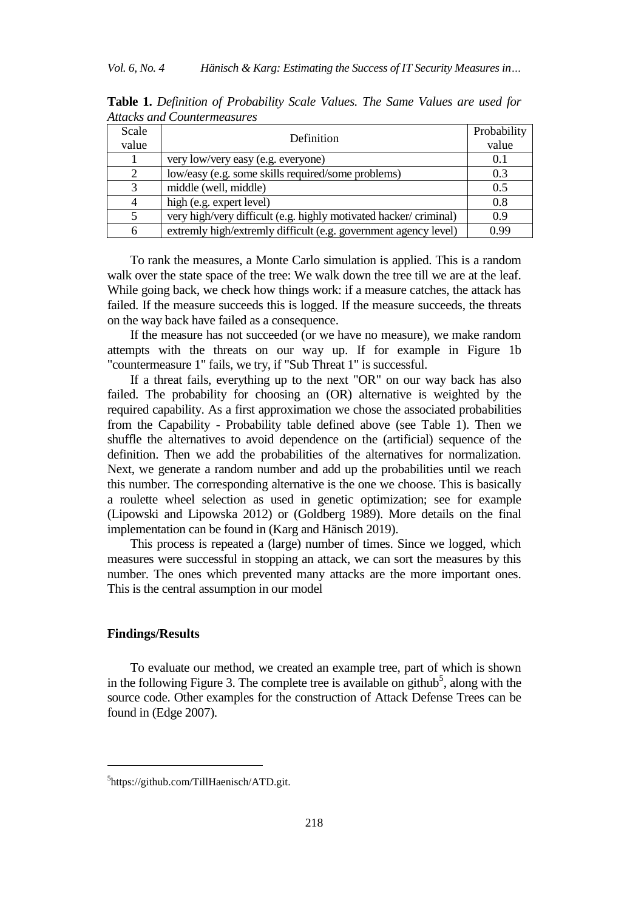| Scale | Definition                                                       | Probability |
|-------|------------------------------------------------------------------|-------------|
| value |                                                                  | value       |
|       | very low/very easy (e.g. everyone)                               | 0.1         |
| 2     | low/easy (e.g. some skills required/some problems)               | 0.3         |
| 3     | middle (well, middle)                                            | 0.5         |
|       | high (e.g. expert level)                                         | 0.8         |
|       | very high/very difficult (e.g. highly motivated hacker/criminal) | 0.9         |
| 6     | extremly high/extremly difficult (e.g. government agency level)  | 0.99        |

**Table 1.** *Definition of Probability Scale Values. The Same Values are used for Attacks and Countermeasures*

To rank the measures, a Monte Carlo simulation is applied. This is a random walk over the state space of the tree: We walk down the tree till we are at the leaf. While going back, we check how things work: if a measure catches, the attack has failed. If the measure succeeds this is logged. If the measure succeeds, the threats on the way back have failed as a consequence.

If the measure has not succeeded (or we have no measure), we make random attempts with the threats on our way up. If for example in Figure 1b "countermeasure 1" fails, we try, if "Sub Threat 1" is successful.

If a threat fails, everything up to the next "OR" on our way back has also failed. The probability for choosing an (OR) alternative is weighted by the required capability. As a first approximation we chose the associated probabilities from the Capability - Probability table defined above (see Table 1). Then we shuffle the alternatives to avoid dependence on the (artificial) sequence of the definition. Then we add the probabilities of the alternatives for normalization. Next, we generate a random number and add up the probabilities until we reach this number. The corresponding alternative is the one we choose. This is basically a roulette wheel selection as used in genetic optimization; see for example (Lipowski and Lipowska 2012) or (Goldberg 1989). More details on the final implementation can be found in (Karg and Hänisch 2019).

This process is repeated a (large) number of times. Since we logged, which measures were successful in stopping an attack, we can sort the measures by this number. The ones which prevented many attacks are the more important ones. This is the central assumption in our model

## **Findings/Results**

 $\overline{a}$ 

To evaluate our method, we created an example tree, part of which is shown in the following Figure 3. The complete tree is available on github<sup>5</sup>, along with the source code. Other examples for the construction of Attack Defense Trees can be found in (Edge 2007).

<sup>5</sup> https://github.com/TillHaenisch/ATD.git.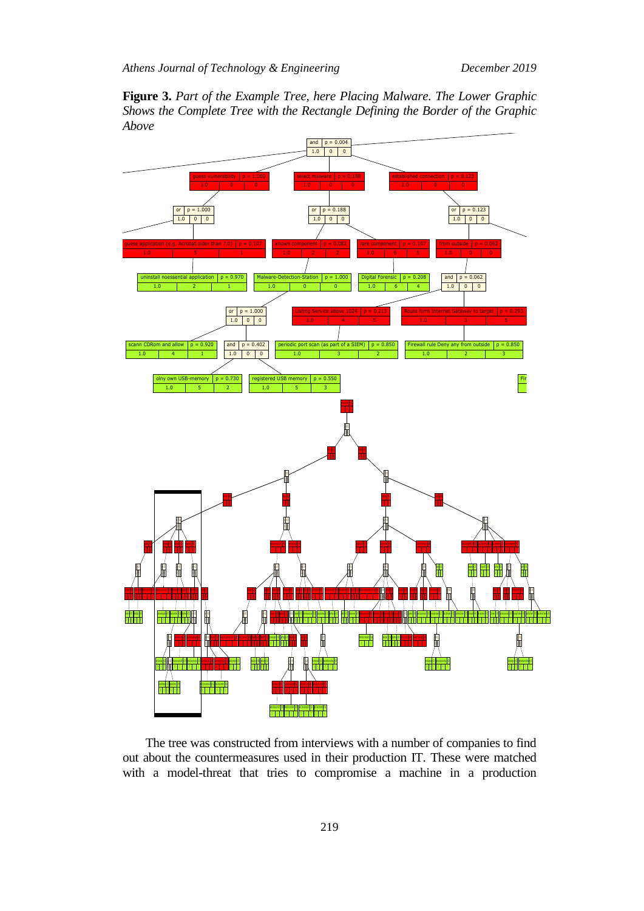**Figure 3.** *Part of the Example Tree, here Placing Malware. The Lower Graphic Shows the Complete Tree with the Rectangle Defining the Border of the Graphic Above*



The tree was constructed from interviews with a number of companies to find out about the countermeasures used in their production IT. These were matched with a model-threat that tries to compromise a machine in a production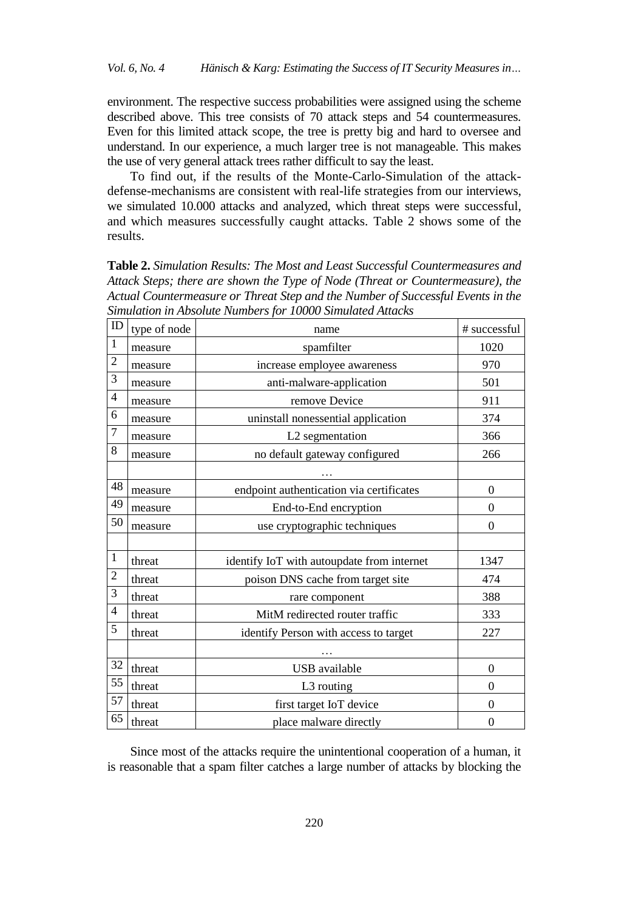environment. The respective success probabilities were assigned using the scheme described above. This tree consists of 70 attack steps and 54 countermeasures. Even for this limited attack scope, the tree is pretty big and hard to oversee and understand. In our experience, a much larger tree is not manageable. This makes the use of very general attack trees rather difficult to say the least.

To find out, if the results of the Monte-Carlo-Simulation of the attackdefense-mechanisms are consistent with real-life strategies from our interviews, we simulated 10.000 attacks and analyzed, which threat steps were successful, and which measures successfully caught attacks. Table 2 shows some of the results.

**Table 2.** *Simulation Results: The Most and Least Successful Countermeasures and Attack Steps; there are shown the Type of Node (Threat or Countermeasure), the Actual Countermeasure or Threat Step and the Number of Successful Events in the Simulation in Absolute Numbers for 10000 Simulated Attacks*

| $\rm ID$       | type of node | name                                       | # successful     |
|----------------|--------------|--------------------------------------------|------------------|
| $\mathbf{1}$   | measure      | spamfilter                                 | 1020             |
| $\overline{2}$ | measure      | increase employee awareness                | 970              |
| 3              | measure      | anti-malware-application                   | 501              |
| $\overline{4}$ | measure      | remove Device                              | 911              |
| 6              | measure      | uninstall nonessential application         | 374              |
| $\overline{7}$ | measure      | L2 segmentation                            | 366              |
| 8              | measure      | no default gateway configured              | 266              |
|                |              |                                            |                  |
| 48             | measure      | endpoint authentication via certificates   | $\overline{0}$   |
| 49             | measure      | End-to-End encryption                      | $\Omega$         |
| 50             | measure      | use cryptographic techniques               | $\theta$         |
|                |              |                                            |                  |
| $\mathbf{1}$   | threat       | identify IoT with autoupdate from internet | 1347             |
| $\overline{2}$ | threat       | poison DNS cache from target site          | 474              |
| 3              | threat       | rare component                             | 388              |
| $\overline{4}$ | threat       | MitM redirected router traffic             | 333              |
| 5              | threat       | identify Person with access to target      | 227              |
|                |              |                                            |                  |
| 32             | threat       | <b>USB</b> available                       | $\Omega$         |
| 55             | threat       | L3 routing                                 | $\theta$         |
| 57             | threat       | first target IoT device                    | $\overline{0}$   |
| 65             | threat       | place malware directly                     | $\boldsymbol{0}$ |

Since most of the attacks require the unintentional cooperation of a human, it is reasonable that a spam filter catches a large number of attacks by blocking the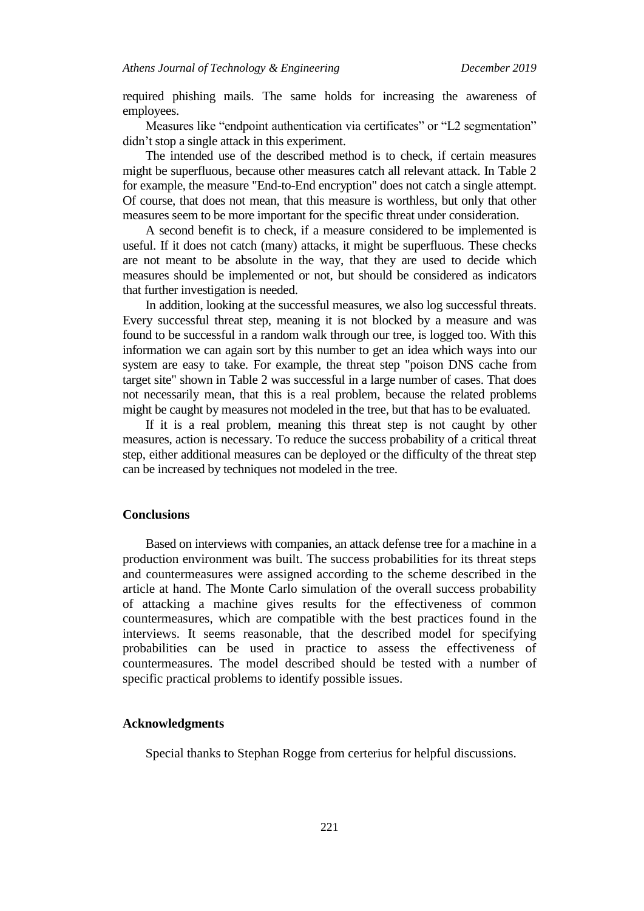required phishing mails. The same holds for increasing the awareness of employees.

Measures like "endpoint authentication via certificates" or "L2 segmentation" didn't stop a single attack in this experiment.

The intended use of the described method is to check, if certain measures might be superfluous, because other measures catch all relevant attack. In Table 2 for example, the measure "End-to-End encryption" does not catch a single attempt. Of course, that does not mean, that this measure is worthless, but only that other measures seem to be more important for the specific threat under consideration.

A second benefit is to check, if a measure considered to be implemented is useful. If it does not catch (many) attacks, it might be superfluous. These checks are not meant to be absolute in the way, that they are used to decide which measures should be implemented or not, but should be considered as indicators that further investigation is needed.

In addition, looking at the successful measures, we also log successful threats. Every successful threat step, meaning it is not blocked by a measure and was found to be successful in a random walk through our tree, is logged too. With this information we can again sort by this number to get an idea which ways into our system are easy to take. For example, the threat step "poison DNS cache from target site" shown in Table 2 was successful in a large number of cases. That does not necessarily mean, that this is a real problem, because the related problems might be caught by measures not modeled in the tree, but that has to be evaluated.

If it is a real problem, meaning this threat step is not caught by other measures, action is necessary. To reduce the success probability of a critical threat step, either additional measures can be deployed or the difficulty of the threat step can be increased by techniques not modeled in the tree.

## **Conclusions**

Based on interviews with companies, an attack defense tree for a machine in a production environment was built. The success probabilities for its threat steps and countermeasures were assigned according to the scheme described in the article at hand. The Monte Carlo simulation of the overall success probability of attacking a machine gives results for the effectiveness of common countermeasures, which are compatible with the best practices found in the interviews. It seems reasonable, that the described model for specifying probabilities can be used in practice to assess the effectiveness of countermeasures. The model described should be tested with a number of specific practical problems to identify possible issues.

#### **Acknowledgments**

Special thanks to Stephan Rogge from certerius for helpful discussions.